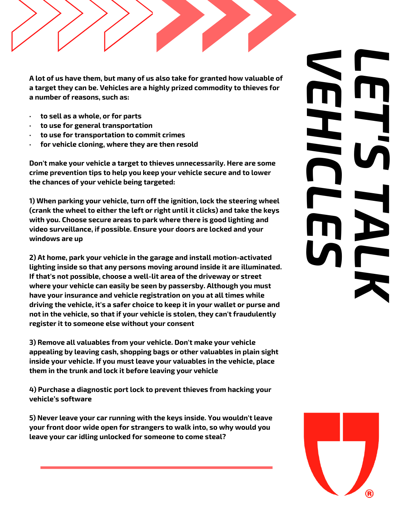**A lot of us have them, but many of us also take for granted how valuable of a target they can be. Vehicles are a highly prized commodity to thieves for a number of reasons, such as:**

- **· to sell as a whole, or for parts**
- **· to use for general transportation**
- **· to use for transportation to commit crimes**
- **· for vehicle cloning, where they are then resold**

**Don't make your vehicle a target to thieves unnecessarily. Here are some crime prevention tips to help you keep your vehicle secure and to lower the chances of your vehicle being targeted:**

**1) When parking your vehicle, turn off the ignition, lock the steering wheel (crank the wheel to either the left or right until it clicks) and take the keys with you. Choose secure areas to park where there is good lighting and video surveillance, if possible. Ensure your doors are locked and your windows are up**

**2) At home, park your vehicle in the garage and install motion-activated lighting inside so that any persons moving around inside it are illuminated. If that's not possible, choose a well-lit area of the driveway or street where your vehicle can easily be seen by passersby. Although you must have your insurance and vehicle registration on you at all times while driving the vehicle, it's a safer choice to keep it in your wallet or purse and not in the vehicle, so that if your vehicle is stolen, they can't fraudulently register it to someone else without your consent**

**3) Remove all valuables from your vehicle. Don't make your vehicle appealing by leaving cash, shopping bags or other valuables in plain sight inside your vehicle. If you must leave your valuables in the vehicle, place them in the trunk and lock it before leaving your vehicle**

**4) Purchase a diagnostic port lock to prevent thieves from hacking your vehicle's software**

**5) Never leave your car running with the keys inside. You wouldn't leave your front door wide open for strangers to walk into, so why would you leave your car idling unlocked for someone to come steal?**

## *VEHICLES LET'S TALK*